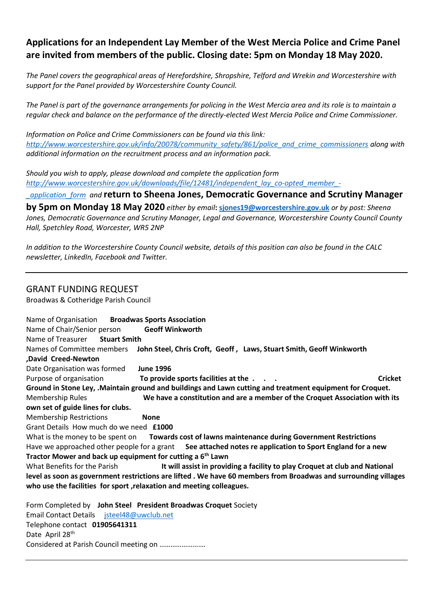## **Applications for an Independent Lay Member of the West Mercia Police and Crime Panel are invited from members of the public. Closing date: 5pm on Monday 18 May 2020.**

*The Panel covers the geographical areas of Herefordshire, Shropshire, Telford and Wrekin and Worcestershire with support for the Panel provided by Worcestershire County Council.*

*The Panel is part of the governance arrangements for policing in the West Mercia area and its role is to maintain a regular check and balance on the performance of the directly-elected West Mercia Police and Crime Commissioner.*

*Information on Police and Crime Commissioners can be found via this link: [http://www.worcestershire.gov.uk/info/20078/community\\_safety/861/police\\_and\\_crime\\_commissioners](http://www.worcestershire.gov.uk/info/20078/community_safety/861/police_and_crime_commissioners) along with additional information on the recruitment process and an information pack.* 

*Should you wish to apply, please download and complete the application form [http://www.worcestershire.gov.uk/downloads/file/12481/independent\\_lay\\_co-opted\\_member\\_-](http://www.worcestershire.gov.uk/downloads/file/12481/independent_lay_co-opted_member_-_application_form)*

*[\\_application\\_form](http://www.worcestershire.gov.uk/downloads/file/12481/independent_lay_co-opted_member_-_application_form) and* **return to Sheena Jones, Democratic Governance and Scrutiny Manager** 

**by 5pm on Monday 18 May 2020** *either by email***: [sjones19@worcestershire.gov.uk](mailto:sjones19@worcestershire.gov.uk)** *or by post: Sheena Jones, Democratic Governance and Scrutiny Manager, Legal and Governance, Worcestershire County Council County Hall, Spetchley Road, Worcester, WR5 2NP*

*In addition to the Worcestershire County Council website, details of this position can also be found in the CALC newsletter, LinkedIn, Facebook and Twitter.*

### GRANT FUNDING REQUEST

Broadwas & Cotheridge Parish Council

Name of Organisation **Broadwas Sports Association** Name of Chair/Senior person **Geoff Winkworth** Name of Treasurer **Stuart Smith** Names of Committee members **John Steel, Chris Croft, Geoff , Laws, Stuart Smith, Geoff Winkworth ,David Creed-Newton** Date Organisation was formed **June 1996** Purpose of organisation **To provide sports facilities at the . . . Cricket Ground in Stone Ley, .Maintain ground and buildings and Lawn cutting and treatment equipment for Croquet.** Membership Rules **We have a constitution and are a member of the Croquet Association with its own set of guide lines for clubs.** Membership Restrictions **None** Grant Details How much do we need **£1000** What is the money to be spent on **Towards cost of lawns maintenance during Government Restrictions** Have we approached other people for a grant **See attached notes re application to Sport England for a new Tractor Mower and back up equipment for cutting a 6th Lawn** What Benefits for the Parish **It will assist in providing a facility to play Croquet at club and National level as soon as government restrictions are lifted . We have 60 members from Broadwas and surrounding villages who use the facilities for sport ,relaxation and meeting colleagues.** Form Completed by **John Steel President Broadwas Croquet** Society Email Contact Details [jsteel48@uwclub.net](mailto:jsteel48@uwclub.net) Telephone contact **01905641311** Date April 28<sup>th</sup>

Considered at Parish Council meeting on …………………….